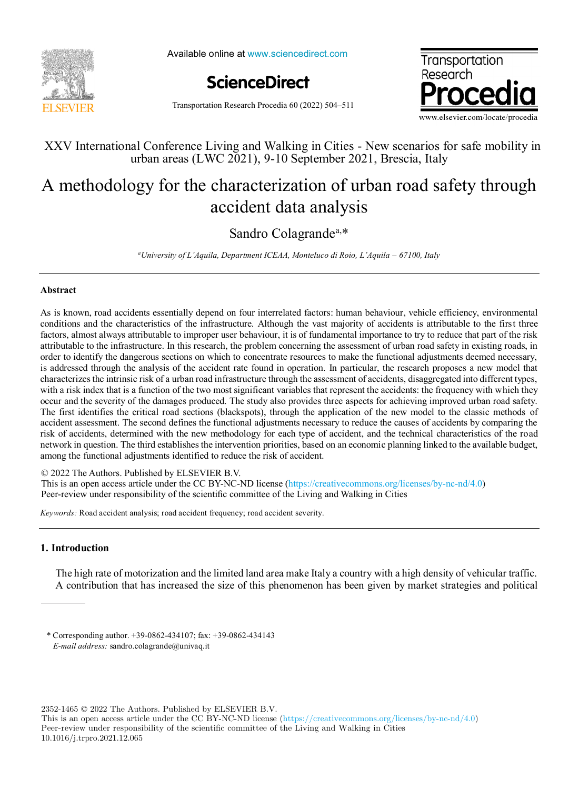

Available online at www.sciencedirect.com





Transportation Research Procedia 60 (2022) 504–511

# urban areas (LWC 2021), 9-10 September 2021, Brescia, Italy  $\frac{1}{2}$ ,  $\frac{1}{2}$ ,  $\frac{1}{2}$ ,  $\frac{1}{2}$ ,  $\frac{1}{2}$ ,  $\frac{1}{2}$ ,  $\frac{1}{2}$ ,  $\frac{1}{2}$ ,  $\frac{1}{2}$ ,  $\frac{1}{2}$ ,  $\frac{1}{2}$ ,  $\frac{1}{2}$ ,  $\frac{1}{2}$ ,  $\frac{1}{2}$ ,  $\frac{1}{2}$ ,  $\frac{1}{2}$ ,  $\frac{1}{2}$ ,  $\frac{1}{2}$ ,  $\frac{1}{2}$ ,  $\frac{1}{2}$ , XXV International Conference Living and Walking in Cities - New scenarios for safe mobility in

# A methodology for the characterization of urban road safety through accident data analysis A methodology for the characterization of urban road safety through accident data analysis

# Sandro Colagrande<sup>a,\*</sup>

Sandro Colagrandea,\* *a University of L'Aquila, Department ICEAA, Monteluco di Roio, L'Aquila – 67100, Italy*

## **Abstract**

conditions and the characteristics of the infrastructure. Although the vast majority of accidents is attributable to the first three factors, almost always attributable to improper user behaviour, it is of fundamental importance to try to reduce that part of the risk attributable to the infrastructure. In this research, the problem concerning the assessment of urban road safety in existing roads, in order to identify the dangerous sections on which to concentrate resources to make the functional adjustments deemed necessary, order to identify the dangerous sections on which to concentrate resources to make the functional adjustments deemed necessary,<br>is addressed through the analysis of the accident rate found in operation. In particular, the characterizes the intrinsic risk of a urban road in frastructure through the assessment of accidents, disaggregated into different types, with a risk index that is a function of the two most significant variables that represent the accidents: the frequency with which they occur and the severity of the damages produced. The study also provides three aspects for achieving improved urban road safety. The first identifies the critical road sections (blackspots), through the application of the new model to the classic methods of accident assessment. The second defines the functional adjustments necessary to reduce the causes of accidents by comparing the accident assessment. The second defines the functional adjustments necessary to reduce the causes of accidents by comparing the<br>risk of accidents, determined with the new methodology for each type of accident, and the tech network in question. The third establishes the intervention priorities, based on an economic planning linked to the available budget, among the functional adjustments identified to reduce the risk of accident. among the functional adjustments identified to reduce the risk of accident. As is known, road accidents essentially depend on four interrelated factors: human behaviour, vehicle efficiency, environmental conditions and the characteristics of the infrastructure. Although the vast majority of accidents is attributable to the first three<br>factors, almost always attributable to improper user behaviour, it is of fundamental impo characterizes the intrinsic risk of a urban road infrastructure through the assessment of accidents, disaggregated into different types,<br>with a risk index that is a function of the two most significant variables that repre

© 2022 The Authors. Published by ELSEVIER B.V.

This is an open access article under the CC BY-NC-ND license (https://creativecommons.org/licenses/by-nc-nd/4.0) This is an open access article under the CC BY-NC-ND license (https://creativecommons.org/licenses/by-nc-nd/4.0) Peer-review under responsibility of the scientific committee of the Living and Walking in Cities Peer-review under responsibility of the scientific committee of the Living and Walking in Cities Peer-review under responsibility of the scientific committee of the Living and Walking in Cities *Keywords:* Road accident analysis; road accident frequency; road accident severity.

*Keywords:* Road accident analysis; road accident frequency; road accident severity.

# **1. Introduction**

The high rate of motorization and the limited land area make Italy a country with a high density of vehicular traffic. A contribution that has increased the size of this phenomenon has been given by market strategies and political

\* Corresponding author. +39-0862-434107; fax: +39-0862-434143 *E-mail address:* sandro.colagrande@univaq.it *E-mail address:* sandro.colagrande@univaq.it

2352-1465 © 2022 The Authors. Published by ELSEVIER B.V.

This is an open access article under the CC BY-NC-ND license (https://creativecommons.org/licenses/by-nc-nd/4.0) Peer-review under responsibility of the scientific committee of the Living and Walking in Cities 10.1016/j.trpro.2021.12.065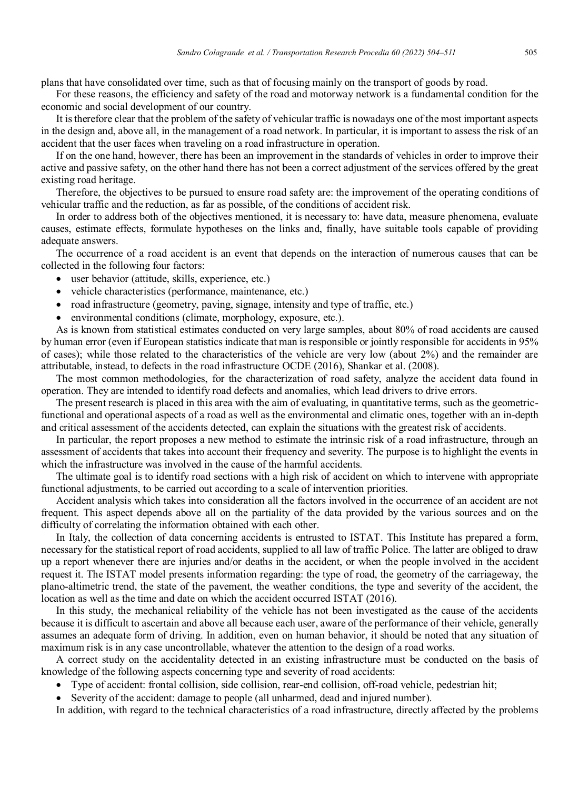plans that have consolidated over time, such as that of focusing mainly on the transport of goods by road.

For these reasons, the efficiency and safety of the road and motorway network is a fundamental condition for the economic and social development of our country.

It is therefore clear that the problem of the safety of vehicular traffic is nowadays one of the most important aspects in the design and, above all, in the management of a road network. In particular, it is important to assess the risk of an accident that the user faces when traveling on a road infrastructure in operation.

If on the one hand, however, there has been an improvement in the standards of vehicles in order to improve their active and passive safety, on the other hand there has not been a correct adjustment of the services offered by the great existing road heritage.

Therefore, the objectives to be pursued to ensure road safety are: the improvement of the operating conditions of vehicular traffic and the reduction, as far as possible, of the conditions of accident risk.

In order to address both of the objectives mentioned, it is necessary to: have data, measure phenomena, evaluate causes, estimate effects, formulate hypotheses on the links and, finally, have suitable tools capable of providing adequate answers.

The occurrence of a road accident is an event that depends on the interaction of numerous causes that can be collected in the following four factors:

- user behavior (attitude, skills, experience, etc.)
- vehicle characteristics (performance, maintenance, etc.)
- road infrastructure (geometry, paving, signage, intensity and type of traffic, etc.)
- environmental conditions (climate, morphology, exposure, etc.).

As is known from statistical estimates conducted on very large samples, about 80% of road accidents are caused by human error (even if European statistics indicate that man is responsible or jointly responsible for accidents in 95% of cases); while those related to the characteristics of the vehicle are very low (about 2%) and the remainder are attributable, instead, to defects in the road infrastructure OCDE (2016), Shankar et al. (2008).

The most common methodologies, for the characterization of road safety, analyze the accident data found in operation. They are intended to identify road defects and anomalies, which lead drivers to drive errors.

The present research is placed in this area with the aim of evaluating, in quantitative terms, such as the geometricfunctional and operational aspects of a road as well as the environmental and climatic ones, together with an in-depth and critical assessment of the accidents detected, can explain the situations with the greatest risk of accidents.

In particular, the report proposes a new method to estimate the intrinsic risk of a road infrastructure, through an assessment of accidents that takes into account their frequency and severity. The purpose is to highlight the events in which the infrastructure was involved in the cause of the harmful accidents.

The ultimate goal is to identify road sections with a high risk of accident on which to intervene with appropriate functional adjustments, to be carried out according to a scale of intervention priorities.

Accident analysis which takes into consideration all the factors involved in the occurrence of an accident are not frequent. This aspect depends above all on the partiality of the data provided by the various sources and on the difficulty of correlating the information obtained with each other.

In Italy, the collection of data concerning accidents is entrusted to ISTAT. This Institute has prepared a form, necessary for the statistical report of road accidents, supplied to all law of traffic Police. The latter are obliged to draw up a report whenever there are injuries and/or deaths in the accident, or when the people involved in the accident request it. The ISTAT model presents information regarding: the type of road, the geometry of the carriageway, the plano-altimetric trend, the state of the pavement, the weather conditions, the type and severity of the accident, the location as well as the time and date on which the accident occurred ISTAT (2016).

In this study, the mechanical reliability of the vehicle has not been investigated as the cause of the accidents because it is difficult to ascertain and above all because each user, aware of the performance of their vehicle, generally assumes an adequate form of driving. In addition, even on human behavior, it should be noted that any situation of maximum risk is in any case uncontrollable, whatever the attention to the design of a road works.

A correct study on the accidentality detected in an existing infrastructure must be conducted on the basis of knowledge of the following aspects concerning type and severity of road accidents:

- Type of accident: frontal collision, side collision, rear-end collision, off-road vehicle, pedestrian hit;
- Severity of the accident: damage to people (all unharmed, dead and injured number).

In addition, with regard to the technical characteristics of a road infrastructure, directly affected by the problems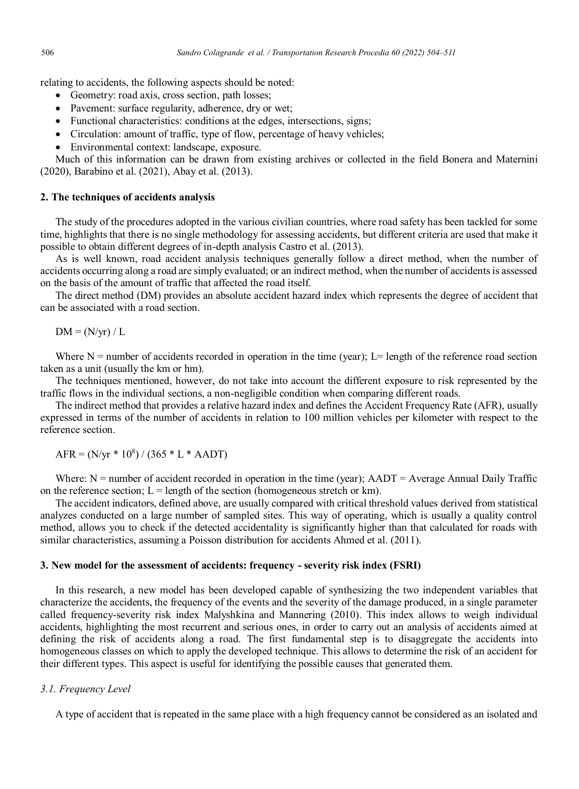relating to accidents, the following aspects should be noted:

- Geometry: road axis, cross section, path losses;
- Pavement: surface regularity, adherence, dry or wet;
- Functional characteristics: conditions at the edges, intersections, signs;
- Circulation: amount of traffic, type of flow, percentage of heavy vehicles;
- Environmental context: landscape, exposure.

Much of this information can be drawn from existing archives or collected in the field Bonera and Maternini (2020), Barabino et al. (2021), Abay et al. (2013).

### **2. The techniques of accidents analysis**

The study of the procedures adopted in the various civilian countries, where road safety has been tackled for some time, highlights that there is no single methodology for assessing accidents, but different criteria are used that make it possible to obtain different degrees of in-depth analysis Castro et al. (2013).

As is well known, road accident analysis techniques generally follow a direct method, when the number of accidents occurring along a road are simply evaluated; or an indirect method, when the number of accidents is assessed on the basis of the amount of traffic that affected the road itself.

The direct method (DM) provides an absolute accident hazard index which represents the degree of accident that can be associated with a road section.

 $DM = (N/yr) / L$ 

Where  $N =$  number of accidents recorded in operation in the time (year); L= length of the reference road section taken as a unit (usually the km or hm).

The techniques mentioned, however, do not take into account the different exposure to risk represented by the traffic flows in the individual sections, a non-negligible condition when comparing different roads.

The indirect method that provides a relative hazard index and defines the Accident Frequency Rate (AFR), usually expressed in terms of the number of accidents in relation to 100 million vehicles per kilometer with respect to the reference section.

 $AFR = (N/yr * 10<sup>8</sup>) / (365 * L * AADT)$ 

Where: N = number of accident recorded in operation in the time (year); AADT = Average Annual Daily Traffic on the reference section;  $L =$  length of the section (homogeneous stretch or km).

The accident indicators, defined above, are usually compared with critical threshold values derived from statistical analyzes conducted on a large number of sampled sites. This way of operating, which is usually a quality control method, allows you to check if the detected accidentality is significantly higher than that calculated for roads with similar characteristics, assuming a Poisson distribution for accidents Ahmed et al. (2011).

#### **3. New model for the assessment of accidents: frequency - severity risk index (FSRI)**

In this research, a new model has been developed capable of synthesizing the two independent variables that characterize the accidents, the frequency of the events and the severity of the damage produced, in a single parameter called frequency-severity risk index Malyshkina and Mannering (2010). This index allows to weigh individual accidents, highlighting the most recurrent and serious ones, in order to carry out an analysis of accidents aimed at defining the risk of accidents along a road. The first fundamental step is to disaggregate the accidents into homogeneous classes on which to apply the developed technique. This allows to determine the risk of an accident for their different types. This aspect is useful for identifying the possible causes that generated them.

## *3.1. Frequency Level*

A type of accident that is repeated in the same place with a high frequency cannot be considered as an isolated and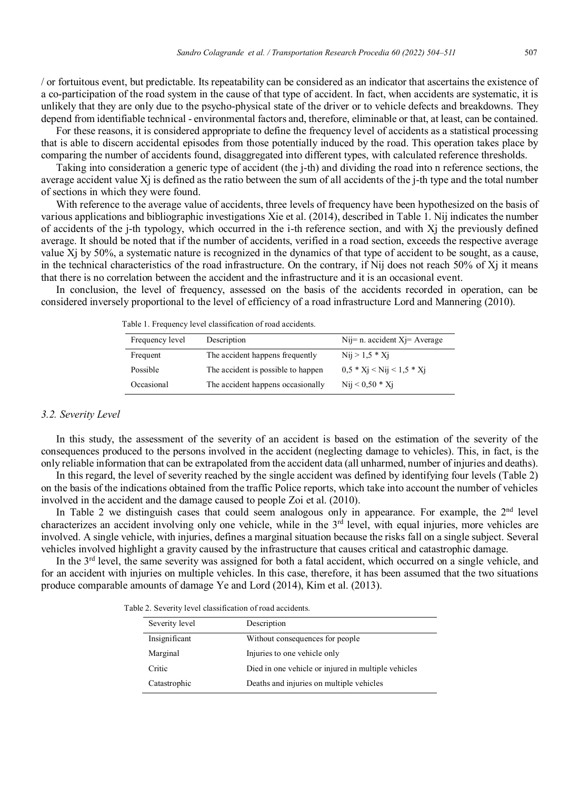/ or fortuitous event, but predictable. Its repeatability can be considered as an indicator that ascertains the existence of a co-participation of the road system in the cause of that type of accident. In fact, when accidents are systematic, it is unlikely that they are only due to the psycho-physical state of the driver or to vehicle defects and breakdowns. They depend from identifiable technical - environmental factors and, therefore, eliminable or that, at least, can be contained.

For these reasons, it is considered appropriate to define the frequency level of accidents as a statistical processing that is able to discern accidental episodes from those potentially induced by the road. This operation takes place by comparing the number of accidents found, disaggregated into different types, with calculated reference thresholds.

Taking into consideration a generic type of accident (the j-th) and dividing the road into n reference sections, the average accident value  $X_i$  is defined as the ratio between the sum of all accidents of the j-th type and the total number of sections in which they were found.

With reference to the average value of accidents, three levels of frequency have been hypothesized on the basis of various applications and bibliographic investigations Xie et al. (2014), described in Table 1. Nij indicates the number of accidents of the j-th typology, which occurred in the i-th reference section, and with Xj the previously defined average. It should be noted that if the number of accidents, verified in a road section, exceeds the respective average value Xj by 50%, a systematic nature is recognized in the dynamics of that type of accident to be sought, as a cause, in the technical characteristics of the road infrastructure. On the contrary, if Nij does not reach 50% of Xj it means that there is no correlation between the accident and the infrastructure and it is an occasional event.

In conclusion, the level of frequency, assessed on the basis of the accidents recorded in operation, can be considered inversely proportional to the level of efficiency of a road infrastructure Lord and Mannering (2010).

| Frequency level | Description                        | $Nij=n$ . accident $Xj=$ Average |  |
|-----------------|------------------------------------|----------------------------------|--|
| Frequent        | The accident happens frequently    | $Nij > 1.5 * Xi$                 |  |
| Possible        | The accident is possible to happen | $0.5 * X_i <$ Nij < 1.5 * Xi     |  |
| Occasional      | The accident happens occasionally  | $Nii < 0.50 * Xi$                |  |

Table 1. Frequency level classification of road accidents.

#### *3.2. Severity Level*

In this study, the assessment of the severity of an accident is based on the estimation of the severity of the consequences produced to the persons involved in the accident (neglecting damage to vehicles). This, in fact, is the only reliable information that can be extrapolated from the accident data (all unharmed, number of injuries and deaths).

In this regard, the level of severity reached by the single accident was defined by identifying four levels (Table 2) on the basis of the indications obtained from the traffic Police reports, which take into account the number of vehicles involved in the accident and the damage caused to people Zoi et al. (2010).

In Table 2 we distinguish cases that could seem analogous only in appearance. For example, the 2<sup>nd</sup> level characterizes an accident involving only one vehicle, while in the  $3<sup>rd</sup>$  level, with equal injuries, more vehicles are involved. A single vehicle, with injuries, defines a marginal situation because the risks fall on a single subject. Several vehicles involved highlight a gravity caused by the infrastructure that causes critical and catastrophic damage.

In the 3<sup>rd</sup> level, the same severity was assigned for both a fatal accident, which occurred on a single vehicle, and for an accident with injuries on multiple vehicles. In this case, therefore, it has been assumed that the two situations produce comparable amounts of damage Ye and Lord (2014), Kim et al. (2013).

Table 2. Severity level classification of road accidents.

| Severity level | Description                                         |
|----------------|-----------------------------------------------------|
| Insignificant  | Without consequences for people                     |
| Marginal       | Injuries to one vehicle only                        |
| Critic         | Died in one vehicle or injured in multiple vehicles |
| Catastrophic   | Deaths and injuries on multiple vehicles            |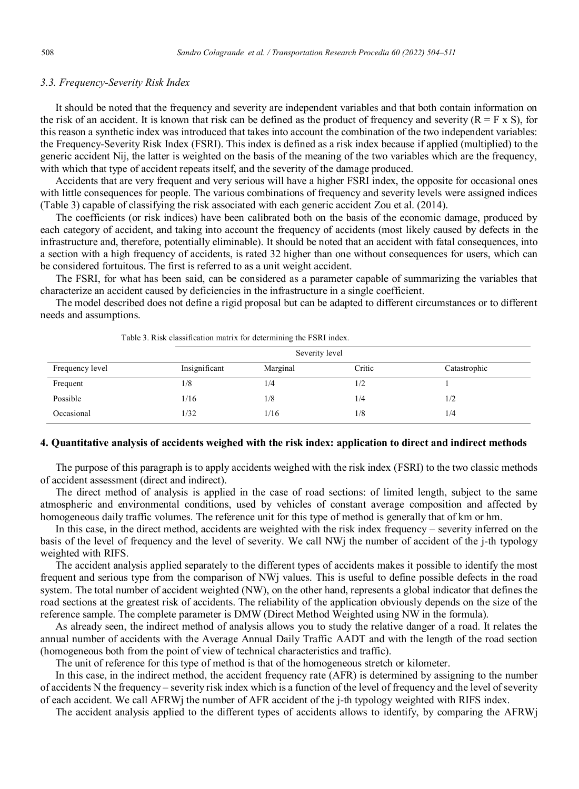## *3.3. Frequency-Severity Risk Index*

It should be noted that the frequency and severity are independent variables and that both contain information on the risk of an accident. It is known that risk can be defined as the product of frequency and severity ( $R = F \times S$ ), for this reason a synthetic index was introduced that takes into account the combination of the two independent variables: the Frequency-Severity Risk Index (FSRI). This index is defined as a risk index because if applied (multiplied) to the generic accident Nij, the latter is weighted on the basis of the meaning of the two variables which are the frequency, with which that type of accident repeats itself, and the severity of the damage produced.

Accidents that are very frequent and very serious will have a higher FSRI index, the opposite for occasional ones with little consequences for people. The various combinations of frequency and severity levels were assigned indices (Table 3) capable of classifying the risk associated with each generic accident Zou et al. (2014).

The coefficients (or risk indices) have been calibrated both on the basis of the economic damage, produced by each category of accident, and taking into account the frequency of accidents (most likely caused by defects in the infrastructure and, therefore, potentially eliminable). It should be noted that an accident with fatal consequences, into a section with a high frequency of accidents, is rated 32 higher than one without consequences for users, which can be considered fortuitous. The first is referred to as a unit weight accident.

The FSRI, for what has been said, can be considered as a parameter capable of summarizing the variables that characterize an accident caused by deficiencies in the infrastructure in a single coefficient.

The model described does not define a rigid proposal but can be adapted to different circumstances or to different needs and assumptions.

|                 |               | Severity level |        |              |  |  |
|-----------------|---------------|----------------|--------|--------------|--|--|
| Frequency level | Insignificant | Marginal       | Critic | Catastrophic |  |  |
| Frequent        | 1/8           | 1/4            | 1/2    |              |  |  |
| Possible        | 1/16          | 1/8            | 1/4    | 1/2          |  |  |
| Occasional      | 1/32          | 1/16           | 1/8    | 1/4          |  |  |

Table 3. Risk classification matrix for determining the FSRI index.

#### **4. Quantitative analysis of accidents weighed with the risk index: application to direct and indirect methods**

The purpose of this paragraph is to apply accidents weighed with the risk index (FSRI) to the two classic methods of accident assessment (direct and indirect).

The direct method of analysis is applied in the case of road sections: of limited length, subject to the same atmospheric and environmental conditions, used by vehicles of constant average composition and affected by homogeneous daily traffic volumes. The reference unit for this type of method is generally that of km or hm.

In this case, in the direct method, accidents are weighted with the risk index frequency – severity inferred on the basis of the level of frequency and the level of severity. We call NWj the number of accident of the j-th typology weighted with RIFS.

The accident analysis applied separately to the different types of accidents makes it possible to identify the most frequent and serious type from the comparison of NWj values. This is useful to define possible defects in the road system. The total number of accident weighted (NW), on the other hand, represents a global indicator that defines the road sections at the greatest risk of accidents. The reliability of the application obviously depends on the size of the reference sample. The complete parameter is DMW (Direct Method Weighted using NW in the formula).

As already seen, the indirect method of analysis allows you to study the relative danger of a road. It relates the annual number of accidents with the Average Annual Daily Traffic AADT and with the length of the road section (homogeneous both from the point of view of technical characteristics and traffic).

The unit of reference for this type of method is that of the homogeneous stretch or kilometer.

In this case, in the indirect method, the accident frequency rate (AFR) is determined by assigning to the number of accidents N the frequency – severity risk index which is a function of the level of frequency and the level of severity of each accident. We call AFRWj the number of AFR accident of the j-th typology weighted with RIFS index.

The accident analysis applied to the different types of accidents allows to identify, by comparing the AFRWj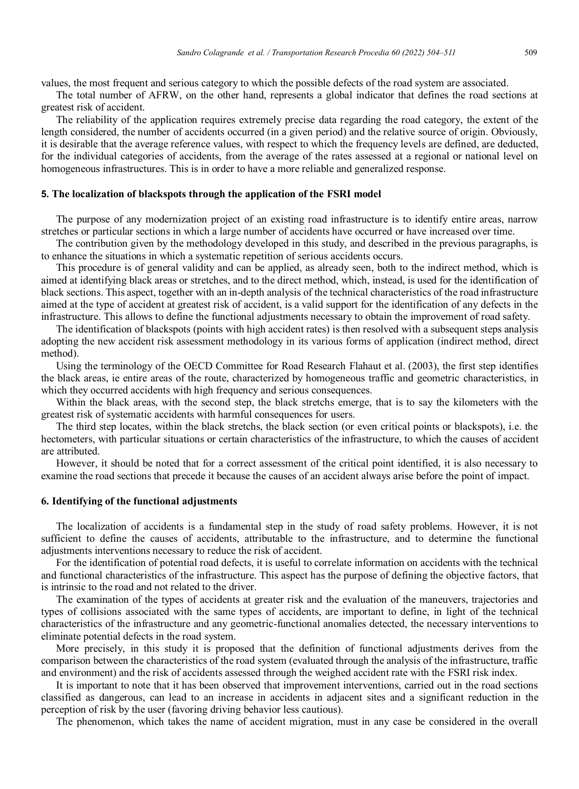values, the most frequent and serious category to which the possible defects of the road system are associated.

The total number of AFRW, on the other hand, represents a global indicator that defines the road sections at greatest risk of accident.

The reliability of the application requires extremely precise data regarding the road category, the extent of the length considered, the number of accidents occurred (in a given period) and the relative source of origin. Obviously, it is desirable that the average reference values, with respect to which the frequency levels are defined, are deducted, for the individual categories of accidents, from the average of the rates assessed at a regional or national level on homogeneous infrastructures. This is in order to have a more reliable and generalized response.

### **5. The localization of blackspots through the application of the FSRI model**

The purpose of any modernization project of an existing road infrastructure is to identify entire areas, narrow stretches or particular sections in which a large number of accidents have occurred or have increased over time.

The contribution given by the methodology developed in this study, and described in the previous paragraphs, is to enhance the situations in which a systematic repetition of serious accidents occurs.

This procedure is of general validity and can be applied, as already seen, both to the indirect method, which is aimed at identifying black areas or stretches, and to the direct method, which, instead, is used for the identification of black sections. This aspect, together with an in-depth analysis of the technical characteristics of the road infrastructure aimed at the type of accident at greatest risk of accident, is a valid support for the identification of any defects in the infrastructure. This allows to define the functional adjustments necessary to obtain the improvement of road safety.

The identification of blackspots (points with high accident rates) is then resolved with a subsequent steps analysis adopting the new accident risk assessment methodology in its various forms of application (indirect method, direct method).

Using the terminology of the OECD Committee for Road Research Flahaut et al. (2003), the first step identifies the black areas, ie entire areas of the route, characterized by homogeneous traffic and geometric characteristics, in which they occurred accidents with high frequency and serious consequences.

Within the black areas, with the second step, the black stretchs emerge, that is to say the kilometers with the greatest risk of systematic accidents with harmful consequences for users.

The third step locates, within the black stretchs, the black section (or even critical points or blackspots), i.e. the hectometers, with particular situations or certain characteristics of the infrastructure, to which the causes of accident are attributed.

However, it should be noted that for a correct assessment of the critical point identified, it is also necessary to examine the road sections that precede it because the causes of an accident always arise before the point of impact.

#### **6. Identifying of the functional adjustments**

The localization of accidents is a fundamental step in the study of road safety problems. However, it is not sufficient to define the causes of accidents, attributable to the infrastructure, and to determine the functional adjustments interventions necessary to reduce the risk of accident.

For the identification of potential road defects, it is useful to correlate information on accidents with the technical and functional characteristics of the infrastructure. This aspect has the purpose of defining the objective factors, that is intrinsic to the road and not related to the driver.

The examination of the types of accidents at greater risk and the evaluation of the maneuvers, trajectories and types of collisions associated with the same types of accidents, are important to define, in light of the technical characteristics of the infrastructure and any geometric-functional anomalies detected, the necessary interventions to eliminate potential defects in the road system.

More precisely, in this study it is proposed that the definition of functional adjustments derives from the comparison between the characteristics of the road system (evaluated through the analysis of the infrastructure, traffic and environment) and the risk of accidents assessed through the weighed accident rate with the FSRI risk index.

It is important to note that it has been observed that improvement interventions, carried out in the road sections classified as dangerous, can lead to an increase in accidents in adjacent sites and a significant reduction in the perception of risk by the user (favoring driving behavior less cautious).

The phenomenon, which takes the name of accident migration, must in any case be considered in the overall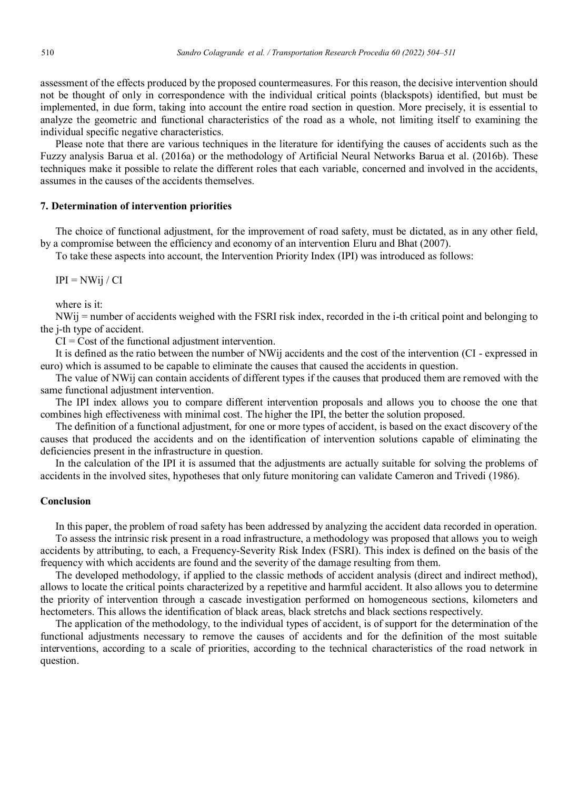assessment of the effects produced by the proposed countermeasures. For this reason, the decisive intervention should not be thought of only in correspondence with the individual critical points (blackspots) identified, but must be implemented, in due form, taking into account the entire road section in question. More precisely, it is essential to analyze the geometric and functional characteristics of the road as a whole, not limiting itself to examining the individual specific negative characteristics.

Please note that there are various techniques in the literature for identifying the causes of accidents such as the Fuzzy analysis Barua et al. (2016a) or the methodology of Artificial Neural Networks Barua et al. (2016b). These techniques make it possible to relate the different roles that each variable, concerned and involved in the accidents, assumes in the causes of the accidents themselves.

# **7. Determination of intervention priorities**

The choice of functional adjustment, for the improvement of road safety, must be dictated, as in any other field, by a compromise between the efficiency and economy of an intervention Eluru and Bhat (2007).

To take these aspects into account, the Intervention Priority Index (IPI) was introduced as follows:

 $IPI = NWii / CI$ 

where is it:

NWij = number of accidents weighed with the FSRI risk index, recorded in the i-th critical point and belonging to the j-th type of accident.

 $CI = Cost of the functional adjustment intervention.$ 

It is defined as the ratio between the number of NWij accidents and the cost of the intervention (CI - expressed in euro) which is assumed to be capable to eliminate the causes that caused the accidents in question.

The value of NWij can contain accidents of different types if the causes that produced them are removed with the same functional adjustment intervention.

The IPI index allows you to compare different intervention proposals and allows you to choose the one that combines high effectiveness with minimal cost. The higher the IPI, the better the solution proposed.

The definition of a functional adjustment, for one or more types of accident, is based on the exact discovery of the causes that produced the accidents and on the identification of intervention solutions capable of eliminating the deficiencies present in the infrastructure in question.

In the calculation of the IPI it is assumed that the adjustments are actually suitable for solving the problems of accidents in the involved sites, hypotheses that only future monitoring can validate Cameron and Trivedi (1986).

#### **Conclusion**

In this paper, the problem of road safety has been addressed by analyzing the accident data recorded in operation. To assess the intrinsic risk present in a road infrastructure, a methodology was proposed that allows you to weigh accidents by attributing, to each, a Frequency-Severity Risk Index (FSRI). This index is defined on the basis of the frequency with which accidents are found and the severity of the damage resulting from them.

The developed methodology, if applied to the classic methods of accident analysis (direct and indirect method), allows to locate the critical points characterized by a repetitive and harmful accident. It also allows you to determine the priority of intervention through a cascade investigation performed on homogeneous sections, kilometers and hectometers. This allows the identification of black areas, black stretchs and black sections respectively.

The application of the methodology, to the individual types of accident, is of support for the determination of the functional adjustments necessary to remove the causes of accidents and for the definition of the most suitable interventions, according to a scale of priorities, according to the technical characteristics of the road network in question.